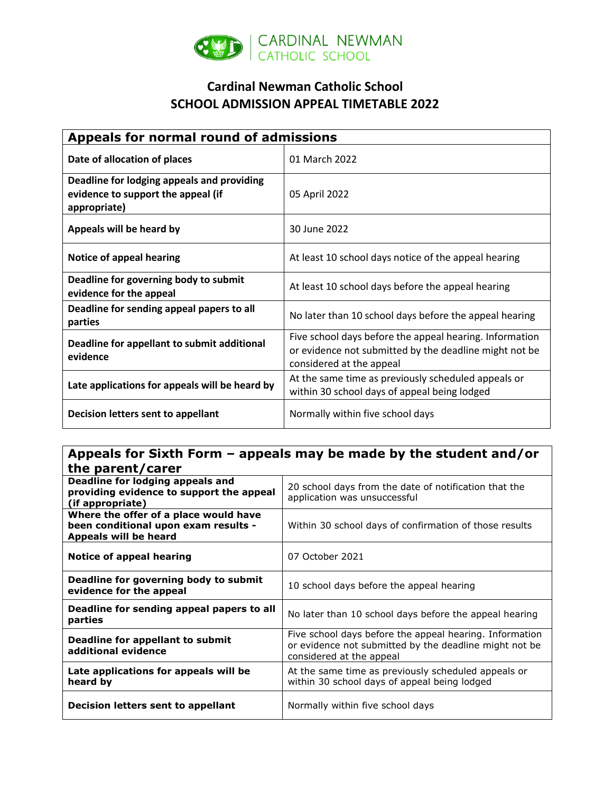

## **Cardinal Newman Catholic School SCHOOL ADMISSION APPEAL TIMETABLE 2022**

| Appeals for normal round of admissions                                                           |                                                                                                                                               |
|--------------------------------------------------------------------------------------------------|-----------------------------------------------------------------------------------------------------------------------------------------------|
| Date of allocation of places                                                                     | 01 March 2022                                                                                                                                 |
| Deadline for lodging appeals and providing<br>evidence to support the appeal (if<br>appropriate) | 05 April 2022                                                                                                                                 |
| Appeals will be heard by                                                                         | 30 June 2022                                                                                                                                  |
| Notice of appeal hearing                                                                         | At least 10 school days notice of the appeal hearing                                                                                          |
| Deadline for governing body to submit<br>evidence for the appeal                                 | At least 10 school days before the appeal hearing                                                                                             |
| Deadline for sending appeal papers to all<br>parties                                             | No later than 10 school days before the appeal hearing                                                                                        |
| Deadline for appellant to submit additional<br>evidence                                          | Five school days before the appeal hearing. Information<br>or evidence not submitted by the deadline might not be<br>considered at the appeal |
| Late applications for appeals will be heard by                                                   | At the same time as previously scheduled appeals or<br>within 30 school days of appeal being lodged                                           |
| Decision letters sent to appellant                                                               | Normally within five school days                                                                                                              |

## **Appeals for Sixth Form – appeals may be made by the student and/or the parent/carer**

| GIL PUI CIIC CUI CI                                                                                    |                                                                                                                                               |
|--------------------------------------------------------------------------------------------------------|-----------------------------------------------------------------------------------------------------------------------------------------------|
| Deadline for lodging appeals and<br>providing evidence to support the appeal<br>(if appropriate)       | 20 school days from the date of notification that the<br>application was unsuccessful                                                         |
| Where the offer of a place would have<br>been conditional upon exam results -<br>Appeals will be heard | Within 30 school days of confirmation of those results                                                                                        |
| Notice of appeal hearing                                                                               | 07 October 2021                                                                                                                               |
| Deadline for governing body to submit<br>evidence for the appeal                                       | 10 school days before the appeal hearing                                                                                                      |
| Deadline for sending appeal papers to all<br>parties                                                   | No later than 10 school days before the appeal hearing                                                                                        |
| Deadline for appellant to submit<br>additional evidence                                                | Five school days before the appeal hearing. Information<br>or evidence not submitted by the deadline might not be<br>considered at the appeal |
| Late applications for appeals will be<br>heard by                                                      | At the same time as previously scheduled appeals or<br>within 30 school days of appeal being lodged                                           |
| Decision letters sent to appellant                                                                     | Normally within five school days                                                                                                              |